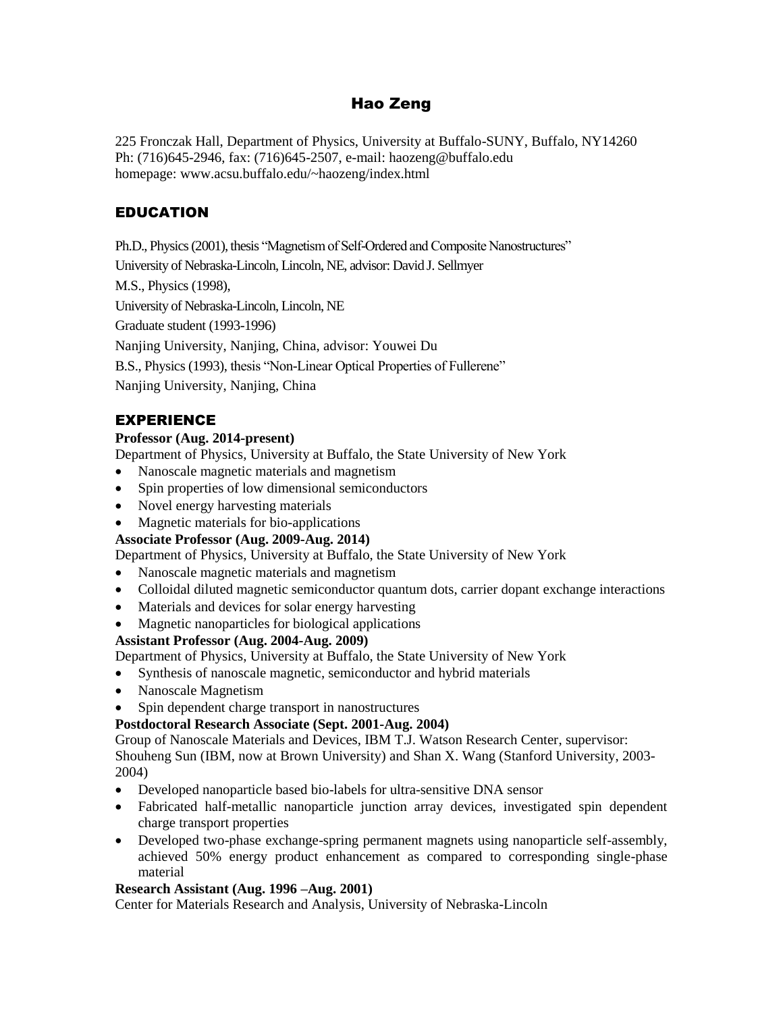# Hao Zeng

225 Fronczak Hall, Department of Physics, University at Buffalo-SUNY, Buffalo, NY14260 Ph: (716)645-2946, fax: (716)645-2507, e-mail: haozeng@buffalo.edu homepage: www.acsu.buffalo.edu/~haozeng/index.html

# EDUCATION

Ph.D., Physics (2001), thesis "Magnetism of Self-Ordered and Composite Nanostructures"

University of Nebraska-Lincoln, Lincoln, NE, advisor: David J. Sellmyer

M.S., Physics (1998),

University of Nebraska-Lincoln, Lincoln, NE

Graduate student (1993-1996)

Nanjing University, Nanjing, China, advisor: Youwei Du

B.S., Physics (1993), thesis "Non-Linear Optical Properties of Fullerene"

Nanjing University, Nanjing, China

## EXPERIENCE

#### **Professor (Aug. 2014-present)**

Department of Physics, University at Buffalo, the State University of New York

- Nanoscale magnetic materials and magnetism
- Spin properties of low dimensional semiconductors
- Novel energy harvesting materials
- Magnetic materials for bio-applications

### **Associate Professor (Aug. 2009-Aug. 2014)**

Department of Physics, University at Buffalo, the State University of New York

- Nanoscale magnetic materials and magnetism
- Colloidal diluted magnetic semiconductor quantum dots, carrier dopant exchange interactions
- Materials and devices for solar energy harvesting
- Magnetic nanoparticles for biological applications

### **Assistant Professor (Aug. 2004-Aug. 2009)**

Department of Physics, University at Buffalo, the State University of New York

- Synthesis of nanoscale magnetic, semiconductor and hybrid materials
- Nanoscale Magnetism
- Spin dependent charge transport in nanostructures

### **Postdoctoral Research Associate (Sept. 2001-Aug. 2004)**

Group of Nanoscale Materials and Devices, IBM T.J. Watson Research Center, supervisor: Shouheng Sun (IBM, now at Brown University) and Shan X. Wang (Stanford University, 2003- 2004)

- Developed nanoparticle based bio-labels for ultra-sensitive DNA sensor
- Fabricated half-metallic nanoparticle junction array devices, investigated spin dependent charge transport properties
- Developed two-phase exchange-spring permanent magnets using nanoparticle self-assembly, achieved 50% energy product enhancement as compared to corresponding single-phase material

#### **Research Assistant (Aug. 1996 –Aug. 2001)**

Center for Materials Research and Analysis, University of Nebraska-Lincoln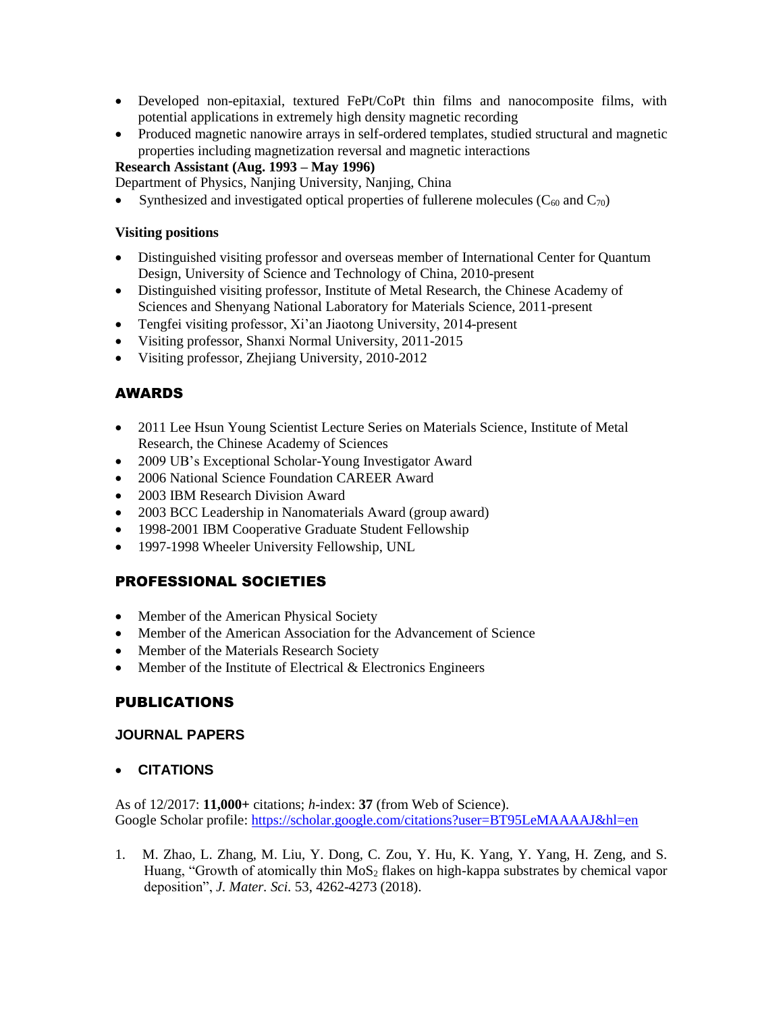- Developed non-epitaxial, textured FePt/CoPt thin films and nanocomposite films, with potential applications in extremely high density magnetic recording
- Produced magnetic nanowire arrays in self-ordered templates, studied structural and magnetic properties including magnetization reversal and magnetic interactions

### **Research Assistant (Aug. 1993 – May 1996)**

Department of Physics, Nanjing University, Nanjing, China

Synthesized and investigated optical properties of fullerene molecules  $(C_{60}$  and  $C_{70}$ )

### **Visiting positions**

- Distinguished visiting professor and overseas member of International Center for Quantum Design, University of Science and Technology of China, 2010-present
- Distinguished visiting professor, Institute of Metal Research, the Chinese Academy of Sciences and Shenyang National Laboratory for Materials Science, 2011-present
- Tengfei visiting professor, Xi'an Jiaotong University, 2014-present
- Visiting professor, Shanxi Normal University, 2011-2015
- Visiting professor, Zhejiang University, 2010-2012

## AWARDS

- 2011 Lee Hsun Young Scientist Lecture Series on Materials Science, Institute of Metal Research, the Chinese Academy of Sciences
- 2009 UB's Exceptional Scholar-Young Investigator Award
- 2006 National Science Foundation CAREER Award
- 2003 IBM Research Division Award
- 2003 BCC Leadership in Nanomaterials Award (group award)
- 1998-2001 IBM Cooperative Graduate Student Fellowship
- 1997-1998 Wheeler University Fellowship, UNL

## PROFESSIONAL SOCIETIES

- Member of the American Physical Society
- Member of the American Association for the Advancement of Science
- Member of the Materials Research Society
- $\bullet$  Member of the Institute of Electrical & Electronics Engineers

# PUBLICATIONS

### **JOURNAL PAPERS**

### **CITATIONS**

As of 12/2017: **11,000+** citations; *h*-index: **37** (from Web of Science). Google Scholar profile:<https://scholar.google.com/citations?user=BT95LeMAAAAJ&hl=en>

1. M. Zhao, L. Zhang, M. Liu, Y. Dong, C. Zou, Y. Hu, K. Yang, Y. Yang, H. Zeng, and S. Huang, "Growth of atomically thin  $MoS<sub>2</sub>$  flakes on high-kappa substrates by chemical vapor deposition", *J. Mater. Sci.* 53, 4262-4273 (2018).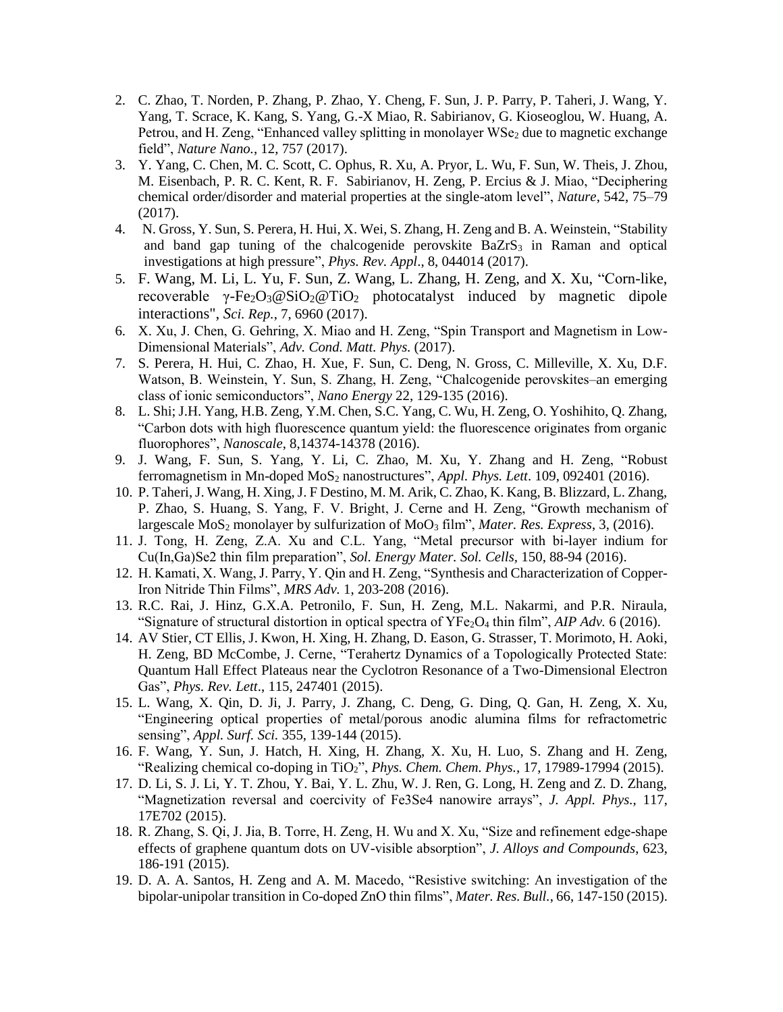- 2. C. Zhao, T. Norden, P. Zhang, P. Zhao, Y. Cheng, F. Sun, J. P. Parry, P. Taheri, J. Wang, Y. Yang, T. Scrace, K. Kang, S. Yang, G.-X Miao, R. Sabirianov, G. Kioseoglou, W. Huang, A. Petrou, and H. Zeng, "Enhanced valley splitting in monolayer  $WSe_2$  due to magnetic exchange field", *Nature Nano.*, 12, 757 (2017).
- 3. Y. Yang, C. Chen, M. C. Scott, C. Ophus, R. Xu, A. Pryor, L. Wu, F. Sun, W. Theis, J. Zhou, M. Eisenbach, P. R. C. Kent, R. F. Sabirianov, H. Zeng, P. Ercius & J. Miao, "Deciphering chemical order/disorder and material properties at the single-atom level", *Nature*, 542, 75–79 (2017).
- 4. N. Gross, Y. Sun, S. Perera, H. Hui, X. Wei, S. Zhang, H. Zeng and B. A. Weinstein, "Stability and band gap tuning of the chalcogenide perovskite  $BaZrS<sub>3</sub>$  in Raman and optical investigations at high pressure", *Phys. Rev. Appl*., 8, 044014 (2017).
- 5. F. Wang, M. Li, L. Yu, F. Sun, Z. Wang, L. Zhang, H. Zeng, and X. Xu, "Corn-like, recoverable γ-Fe2O3@SiO2@TiO<sup>2</sup> photocatalyst induced by magnetic dipole interactions", *Sci. Rep.*, 7, 6960 (2017).
- 6. X. Xu, J. Chen, G. Gehring, X. Miao and H. Zeng, "Spin Transport and Magnetism in Low-Dimensional Materials", *Adv. Cond. Matt. Phys.* (2017).
- 7. S. Perera, H. Hui, C. Zhao, H. Xue, F. Sun, C. Deng, N. Gross, C. Milleville, X. Xu, D.F. Watson, B. Weinstein, Y. Sun, S. Zhang, H. Zeng, "Chalcogenide perovskites–an emerging class of ionic semiconductors", *Nano Energy* 22, 129-135 (2016).
- 8. L. Shi; J.H. Yang, H.B. Zeng, Y.M. Chen, S.C. Yang, C. Wu, H. Zeng, O. Yoshihito, Q. Zhang, "Carbon dots with high fluorescence quantum yield: the fluorescence originates from organic fluorophores", *Nanoscale*, 8,14374-14378 (2016).
- 9. J. Wang, F. Sun, S. Yang, Y. Li, C. Zhao, M. Xu, Y. Zhang and H. Zeng, "Robust ferromagnetism in Mn-doped MoS<sup>2</sup> nanostructures", *Appl. Phys. Lett*. 109, 092401 (2016).
- 10. P. Taheri, J. Wang, H. Xing, J. F Destino, M. M. Arik, C. Zhao, K. Kang, B. Blizzard, L. Zhang, P. Zhao, S. Huang, S. Yang, F. V. Bright, J. Cerne and H. Zeng, "Growth mechanism of largescale MoS<sub>2</sub> monolayer by sulfurization of MoO<sub>3</sub> film", *Mater. Res. Express*, 3, (2016).
- 11. J. Tong, H. Zeng, Z.A. Xu and C.L. Yang, "Metal precursor with bi-layer indium for Cu(In,Ga)Se2 thin film preparation", *Sol. Energy Mater. Sol. Cells,* 150, 88-94 (2016).
- 12. H. Kamati, X. Wang, J. Parry, Y. Qin and H. Zeng, "Synthesis and Characterization of Copper-Iron Nitride Thin Films", *MRS Adv.* 1, 203-208 (2016).
- 13. R.C. Rai, J. Hinz, G.X.A. Petronilo, F. Sun, H. Zeng, M.L. Nakarmi, and P.R. Niraula, "Signature of structural distortion in optical spectra of  $YFe<sub>2</sub>O<sub>4</sub>$  thin film", *AIP Adv.* 6 (2016).
- 14. AV Stier, CT Ellis, J. Kwon, H. Xing, H. Zhang, D. Eason, G. Strasser, T. Morimoto, H. Aoki, H. Zeng, BD McCombe, J. Cerne, "Terahertz Dynamics of a Topologically Protected State: Quantum Hall Effect Plateaus near the Cyclotron Resonance of a Two-Dimensional Electron Gas", *Phys. Rev. Lett*., 115, 247401 (2015).
- 15. L. Wang, X. Qin, D. Ji, J. Parry, J. Zhang, C. Deng, G. Ding, Q. Gan, H. Zeng, X. Xu, "Engineering optical properties of metal/porous anodic alumina films for refractometric sensing", *Appl. Surf. Sci.* 355, 139-144 (2015).
- 16. F. Wang, Y. Sun, J. Hatch, H. Xing, H. Zhang, X. Xu, H. Luo, S. Zhang and H. Zeng, "Realizing chemical co-doping in TiO2", *Phys. Chem. Chem. Phys.,* 17, 17989-17994 (2015).
- 17. D. Li, S. J. Li, Y. T. Zhou, Y. Bai, Y. L. Zhu, W. J. Ren, G. Long, H. Zeng and Z. D. Zhang, "Magnetization reversal and coercivity of Fe3Se4 nanowire arrays", *J. Appl. Phys.*, 117, 17E702 (2015).
- 18. R. Zhang, S. Qi, J. Jia, B. Torre, H. Zeng, H. Wu and X. Xu, "Size and refinement edge-shape effects of graphene quantum dots on UV-visible absorption", *J. Alloys and Compounds*, 623, 186-191 (2015).
- 19. D. A. A. Santos, H. Zeng and A. M. Macedo, "Resistive switching: An investigation of the bipolar-unipolar transition in Co-doped ZnO thin films", *Mater. Res. Bull.*, 66, 147-150 (2015).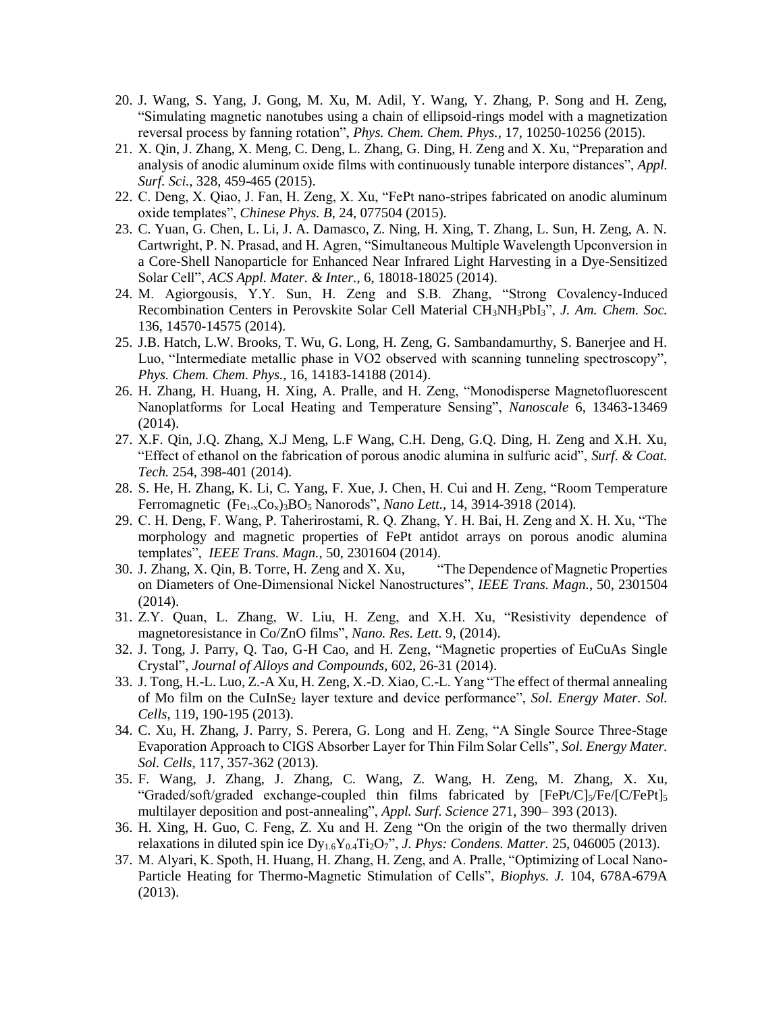- 20. J. Wang, S. Yang, J. Gong, M. Xu, M. Adil, Y. Wang, Y. Zhang, P. Song and H. Zeng, "Simulating magnetic nanotubes using a chain of ellipsoid-rings model with a magnetization reversal process by fanning rotation", *Phys. Chem. Chem. Phys.*, 17, 10250-10256 (2015).
- 21. X. Qin, J. Zhang, X. Meng, C. Deng, L. Zhang, G. Ding, H. Zeng and X. Xu, "Preparation and analysis of anodic aluminum oxide films with continuously tunable interpore distances", *Appl. Surf. Sci.*, 328, 459-465 (2015).
- 22. C. Deng, X. Qiao, J. Fan, H. Zeng, X. Xu, "FePt nano-stripes fabricated on anodic aluminum oxide templates", *Chinese Phys. B*, 24, 077504 (2015).
- 23. C. Yuan, G. Chen, L. Li, J. A. Damasco, Z. Ning, H. Xing, T. Zhang, L. Sun, H. Zeng, A. N. Cartwright, P. N. Prasad, and H. Agren, "Simultaneous Multiple Wavelength Upconversion in a Core-Shell Nanoparticle for Enhanced Near Infrared Light Harvesting in a Dye-Sensitized Solar Cell", *ACS Appl. Mater. & Inter.*, 6, 18018-18025 (2014).
- 24. M. Agiorgousis, Y.Y. Sun, H. Zeng and S.B. Zhang, "Strong Covalency-Induced Recombination Centers in Perovskite Solar Cell Material CH3NH3PbI3", *J. Am. Chem. Soc.* 136, 14570-14575 (2014).
- 25. J.B. Hatch, L.W. Brooks, T. Wu, G. Long, H. Zeng, G. Sambandamurthy, S. Banerjee and H. Luo, "Intermediate metallic phase in VO2 observed with scanning tunneling spectroscopy", *Phys. Chem. Chem. Phys.*, 16, 14183-14188 (2014).
- 26. H. Zhang, H. Huang, H. Xing, A. Pralle, and H. Zeng, "Monodisperse Magnetofluorescent Nanoplatforms for Local Heating and Temperature Sensing", *Nanoscale* 6, 13463-13469 (2014).
- 27. X.F. Qin, J.Q. Zhang, X.J Meng, L.F Wang, C.H. Deng, G.Q. Ding, H. Zeng and X.H. Xu, "Effect of ethanol on the fabrication of porous anodic alumina in sulfuric acid", *Surf. & Coat. Tech.* 254, 398-401 (2014)*.*
- 28. S. He, H. Zhang, K. Li, C. Yang, F. Xue, J. Chen, H. Cui and H. Zeng, "Room Temperature Ferromagnetic (Fe1-xCox)3BO<sup>5</sup> Nanorods", *Nano Lett.*, 14, 3914-3918 (2014)*.*
- 29. C. H. Deng, F. Wang, P. Taherirostami, R. Q. Zhang, Y. H. Bai, H. Zeng and X. H. Xu, "The morphology and magnetic properties of FePt antidot arrays on porous anodic alumina templates", *IEEE Trans. Magn.*, 50, 2301604 (2014).
- 30. J. Zhang, X. Qin, B. Torre, H. Zeng and X. Xu, "The Dependence of Magnetic Properties on Diameters of One-Dimensional Nickel Nanostructures", *IEEE Trans. Magn.*, 50, 2301504  $(2014).$
- 31. Z.Y. Quan, L. Zhang, W. Liu, H. Zeng, and X.H. Xu, "Resistivity dependence of magnetoresistance in Co/ZnO films", *Nano. Res. Lett.* 9, (2014).
- 32. J. Tong, J. Parry, Q. Tao, G-H Cao, and H. Zeng, "Magnetic properties of EuCuAs Single Crystal", *Journal of Alloys and Compounds*, 602, 26-31 (2014).
- 33. J. Tong, H.-L. Luo, Z.-A Xu, H. Zeng, X.-D. Xiao, C.-L. Yang "The effect of thermal annealing of Mo film on the CuInSe<sup>2</sup> layer texture and device performance", *Sol. Energy Mater. Sol. Cells*, 119, 190-195 (2013).
- 34. C. Xu*,* H. Zhang*,* J. Parry*,* S. Perera*,* G. Long and H. Zeng, "A Single Source Three-Stage Evaporation Approach to CIGS Absorber Layer for Thin Film Solar Cells", *Sol. Energy Mater. Sol. Cells*, 117, 357-362 (2013).
- 35. F. Wang, J. Zhang, J. Zhang, C. Wang, Z. Wang, H. Zeng, M. Zhang, X. Xu, "Graded/soft/graded exchange-coupled thin films fabricated by  $[FePt/C]_5/Fe/[C/FePt]_5$ multilayer deposition and post-annealing", *Appl. Surf. Science* 271, 390– 393 (2013).
- 36. H. Xing, H. Guo, C. Feng, Z. Xu and H. Zeng "On the origin of the two thermally driven relaxations in diluted spin ice Dy1.6Y0.4Ti2O7", *J. Phys: Condens. Matter.* 25, 046005 (2013).
- 37. M. Alyari, K. Spoth, H. Huang, H. Zhang, H. Zeng, and A. Pralle, "Optimizing of Local Nano-Particle Heating for Thermo-Magnetic Stimulation of Cells", *Biophys. J.* 104, 678A-679A (2013).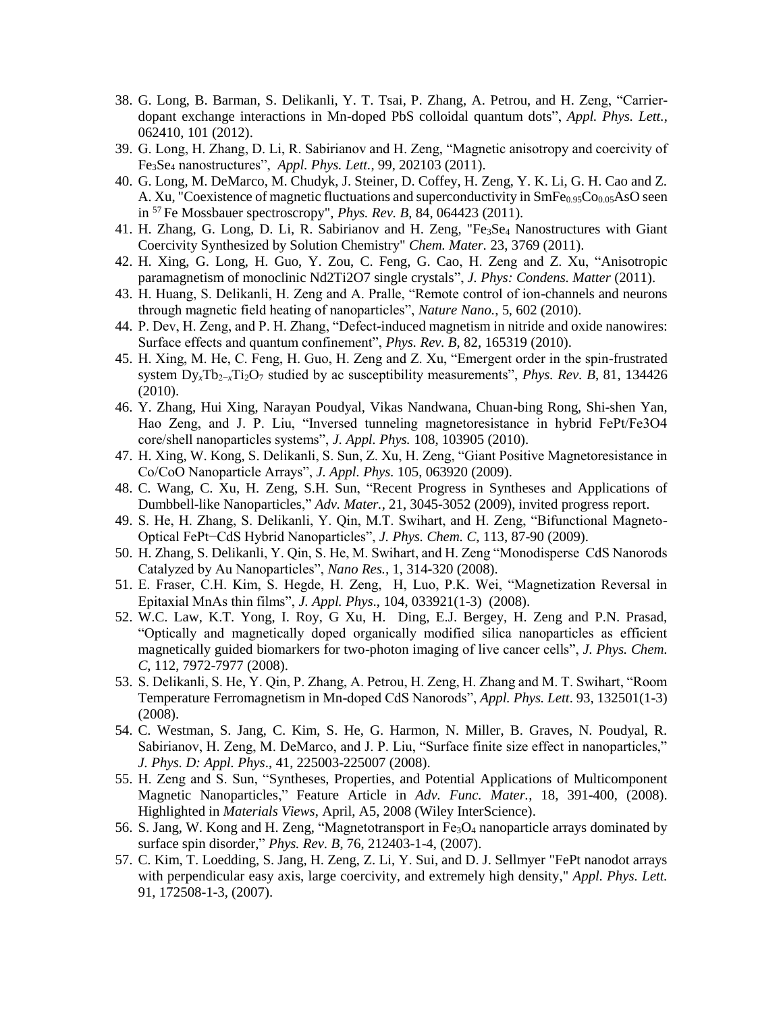- 38. G. Long, B. Barman, S. Delikanli, Y. T. Tsai, P. Zhang, A. Petrou, and H. Zeng, "Carrierdopant exchange interactions in Mn-doped PbS colloidal quantum dots", *Appl. Phys. Lett.*, 062410, 101 (2012).
- 39. G. Long, H. Zhang, D. Li, R. Sabirianov and H. Zeng, "Magnetic anisotropy and coercivity of Fe3Se<sup>4</sup> nanostructures", *Appl. Phys. Lett.*, 99, 202103 (2011).
- 40. [G. Long, M. DeMarco, M. Chudyk, J. Steiner, D. Coffey, H. Zeng, Y. K. Li, G. H. Cao and Z.](http://dx.doi.org/10.1103/PhysRevB.84.064423)  A. Xu, "Coexistence of magnetic fluctuations and superconductivity in  $SmFe_{0.95}Co_{0.05}AsO$  seen in <sup>57</sup>[Fe Mossbauer spectroscropy",](http://dx.doi.org/10.1103/PhysRevB.84.064423) *Phys. Rev. B*, 84, 064423 (2011).
- 41. H. Zhang, G. Long, D. Li, R. Sabirianov and H. Zeng, "Fe<sub>3</sub>Se<sub>4</sub> Nanostructures with Giant [Coercivity Synthesized by Solution Chemistry"](http://dx.doi.org/10.1021/cm201610k) *Chem. Mater.* 23, 3769 (2011).
- 42. H. Xing, G. Long, H. Guo, Y. Zou, C. Feng, G. Cao, H. Zeng and Z. Xu, "Anisotropic paramagnetism of monoclinic Nd2Ti2O7 single crystals", *J. Phys: Condens. Matter* (2011).
- 43. H. Huang, S. Delikanli, H. Zeng and A. Pralle, "Remote control of ion-channels and neurons through magnetic field heating of nanoparticles", *Nature Nano.*, 5, 602 (2010).
- 44. P. Dev, H. Zeng, and P. H. Zhang, "Defect-induced magnetism in nitride and oxide nanowires: Surface effects and quantum confinement", *Phys. Rev. B*, 82, 165319 (2010).
- 45. H. Xing, M. He, C. Feng, H. Guo, H. Zeng and Z. Xu, "Emergent order in the spin-frustrated system Dy<sub>x</sub>Tb<sub>2−*x*Ti<sub>2</sub>O<sub>7</sub> studied by ac susceptibility measurements", *Phys. Rev. B*, 81, 134426</sub> (2010).
- 46. Y. Zhang, Hui Xing, Narayan Poudyal, Vikas Nandwana, Chuan-bing Rong, Shi-shen Yan, Hao Zeng, and J. P. Liu, "Inversed tunneling magnetoresistance in hybrid FePt/Fe3O4 core/shell nanoparticles systems", *J. Appl. Phys.* 108, 103905 (2010).
- 47. H. Xing, W. Kong, S. Delikanli, S. Sun, Z. Xu, H. Zeng, "Giant Positive Magnetoresistance in Co/CoO Nanoparticle Arrays", *J. Appl. Phys.* 105, 063920 (2009).
- 48. C. Wang, C. Xu, H. Zeng, S.H. Sun, "Recent Progress in Syntheses and Applications of Dumbbell-like Nanoparticles," *Adv. Mater.*, 21, 3045-3052 (2009), invited progress report.
- 49. S. He, H. Zhang, S. Delikanli, Y. Qin, M.T. Swihart, and H. Zeng, "Bifunctional Magneto-Optical FePt−CdS Hybrid Nanoparticles", *J. Phys. Chem. C*, 113, 87-90 (2009).
- 50. H. Zhang, S. Delikanli, Y. Qin, S. He, M. Swihart, and H. Zeng "Monodisperse CdS Nanorods Catalyzed by Au Nanoparticles", *Nano Res.,* 1, 314-320 (2008).
- 51. E. Fraser, C.H. Kim, S. Hegde, H. Zeng, H, Luo, P.K. Wei, "Magnetization Reversal in Epitaxial MnAs thin films", *J. Appl. Phys*., 104, 033921(1-3) (2008).
- 52. W.C. Law, K.T. Yong, I. Roy, G Xu, H. Ding, E.J. Bergey, H. Zeng and P.N. Prasad, "Optically and magnetically doped organically modified silica nanoparticles as efficient magnetically guided biomarkers for two-photon imaging of live cancer cells", *J. Phys. Chem. C*, 112, 7972-7977 (2008).
- 53. S. Delikanli, S. He, Y. Qin, P. Zhang, A. Petrou, H. Zeng, H. Zhang and M. T. Swihart, "Room Temperature Ferromagnetism in Mn-doped CdS Nanorods", *Appl. Phys. Lett*. 93, 132501(1-3) (2008).
- 54. C. Westman, S. Jang, C. Kim, S. He, G. Harmon, N. Miller, B. Graves, N. Poudyal, R. Sabirianov, H. Zeng, M. DeMarco, and J. P. Liu, "Surface finite size effect in nanoparticles," *J. Phys. D: Appl. Phys*., 41, 225003-225007 (2008).
- 55. H. Zeng and S. Sun, "Syntheses, Properties, and Potential Applications of Multicomponent Magnetic Nanoparticles," Feature Article in *Adv. Func. Mater.*, 18, 391-400, (2008). Highlighted in *Materials Views*, April, A5, 2008 (Wiley InterScience).
- 56. S. Jang, W. Kong and H. Zeng, "Magnetotransport in Fe<sub>3</sub>O<sub>4</sub> nanoparticle arrays dominated by surface spin disorder," *Phys. Rev. B*, 76, 212403-1-4, (2007).
- 57. C. Kim, T. Loedding, S. Jang, H. Zeng, Z. Li, Y. Sui, and D. J. Sellmyer "FePt nanodot arrays with perpendicular easy axis, large coercivity, and extremely high density," *Appl. Phys. Lett.* 91, 172508-1-3, (2007).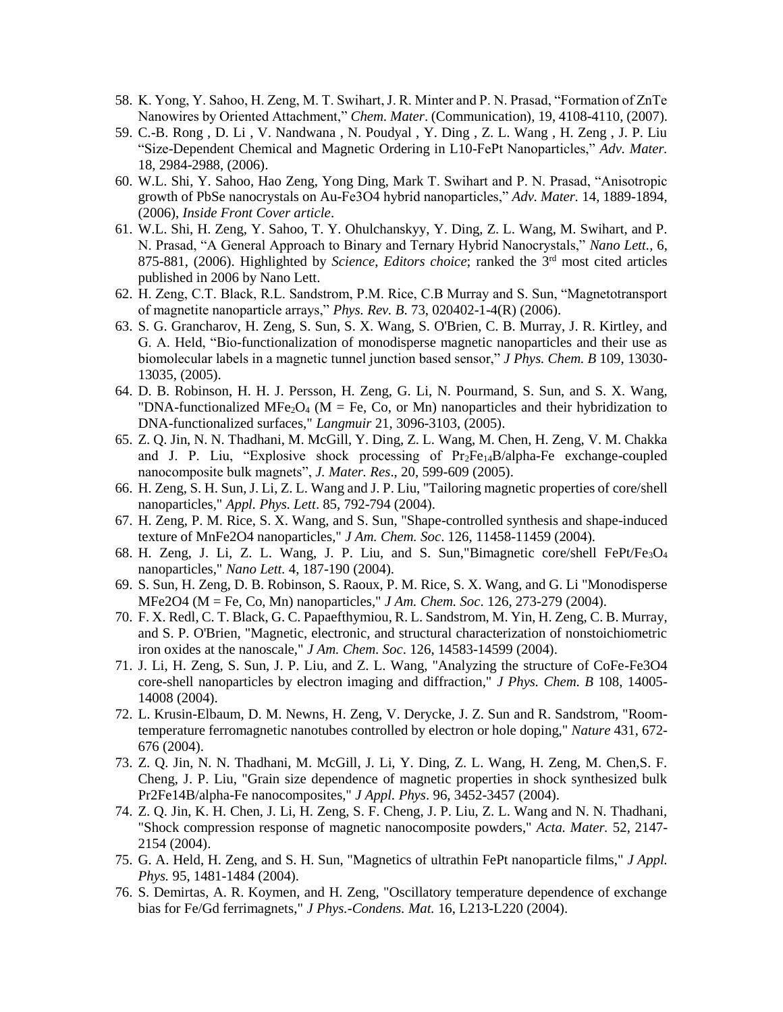- 58. K. Yong, Y. Sahoo, H. Zeng, M. T. Swihart, J. R. Minter and P. N. Prasad, "Formation of ZnTe Nanowires by Oriented Attachment," *Chem. Mater*. (Communication), 19, 4108-4110, (2007).
- 59. C.-B. Rong , D. Li , V. Nandwana , N. Poudyal , Y. Ding , Z. L. Wang , H. Zeng , J. P. Liu "Size-Dependent Chemical and Magnetic Ordering in L10-FePt Nanoparticles," *Adv. Mater.* 18, 2984-2988, (2006).
- 60. W.L. Shi, Y. Sahoo, Hao Zeng, Yong Ding, Mark T. Swihart and P. N. Prasad, "Anisotropic growth of PbSe nanocrystals on Au-Fe3O4 hybrid nanoparticles," *Adv. Mater.* 14, 1889-1894, (2006), *Inside Front Cover article*.
- 61. W.L. Shi, H. Zeng, Y. Sahoo, T. Y. Ohulchanskyy, Y. Ding, Z. L. Wang, M. Swihart, and P. N. Prasad, "A General Approach to Binary and Ternary Hybrid Nanocrystals," *Nano Lett.*, 6, 875-881, (2006). Highlighted by *Science*, *Editors choice*; ranked the 3rd most cited articles published in 2006 by Nano Lett.
- 62. H. Zeng, C.T. Black, R.L. Sandstrom, P.M. Rice, C.B Murray and S. Sun, "Magnetotransport of magnetite nanoparticle arrays," *Phys. Rev. B*. 73, 020402-1-4(R) (2006).
- 63. S. G. Grancharov, H. Zeng, S. Sun, S. X. Wang, S. O'Brien, C. B. Murray, J. R. Kirtley, and G. A. Held, "Bio-functionalization of monodisperse magnetic nanoparticles and their use as biomolecular labels in a magnetic tunnel junction based sensor," *J Phys. Chem. B* 109, 13030- 13035, (2005).
- 64. D. B. Robinson, H. H. J. Persson, H. Zeng, G. Li, N. Pourmand, S. Sun, and S. X. Wang, "DNA-functionalized MFe<sub>2</sub>O<sub>4</sub> (M = Fe, Co, or Mn) nanoparticles and their hybridization to DNA-functionalized surfaces," *Langmuir* 21, 3096-3103, (2005).
- 65. Z. Q. Jin, N. N. Thadhani, M. McGill, Y. Ding, Z. L. Wang, M. Chen, H. Zeng, V. M. Chakka and J. P. Liu, "Explosive shock processing of  $Pr_2Fe_{14}B/alpha$ -Fe exchange-coupled nanocomposite bulk magnets", *J. Mater. Res*., 20, 599-609 (2005).
- 66. H. Zeng, S. H. Sun, J. Li, Z. L. Wang and J. P. Liu, "Tailoring magnetic properties of core/shell nanoparticles," *Appl. Phys. Lett*. 85, 792-794 (2004).
- 67. H. Zeng, P. M. Rice, S. X. Wang, and S. Sun, "Shape-controlled synthesis and shape-induced texture of MnFe2O4 nanoparticles," *J Am. Chem. Soc*. 126, 11458-11459 (2004).
- 68. H. Zeng, J. Li, Z. L. Wang, J. P. Liu, and S. Sun,"Bimagnetic core/shell FePt/Fe3O<sup>4</sup> nanoparticles," *Nano Lett.* 4, 187-190 (2004).
- 69. S. Sun, H. Zeng, D. B. Robinson, S. Raoux, P. M. Rice, S. X. Wang, and G. Li "Monodisperse MFe2O4 (M = Fe, Co, Mn) nanoparticles," *J Am. Chem. Soc*. 126, 273-279 (2004).
- 70. F. X. Redl, C. T. Black, G. C. Papaefthymiou, R. L. Sandstrom, M. Yin, H. Zeng, C. B. Murray, and S. P. O'Brien, "Magnetic, electronic, and structural characterization of nonstoichiometric iron oxides at the nanoscale," *J Am. Chem. Soc*. 126, 14583-14599 (2004).
- 71. J. Li, H. Zeng, S. Sun, J. P. Liu, and Z. L. Wang, "Analyzing the structure of CoFe-Fe3O4 core-shell nanoparticles by electron imaging and diffraction," *J Phys. Chem. B* 108, 14005- 14008 (2004).
- 72. L. Krusin-Elbaum, D. M. Newns, H. Zeng, V. Derycke, J. Z. Sun and R. Sandstrom, "Roomtemperature ferromagnetic nanotubes controlled by electron or hole doping," *Nature* 431, 672- 676 (2004).
- 73. Z. Q. Jin, N. N. Thadhani, M. McGill, J. Li, Y. Ding, Z. L. Wang, H. Zeng, M. Chen,S. F. Cheng, J. P. Liu, "Grain size dependence of magnetic properties in shock synthesized bulk Pr2Fe14B/alpha-Fe nanocomposites," *J Appl. Phys*. 96, 3452-3457 (2004).
- 74. Z. Q. Jin, K. H. Chen, J. Li, H. Zeng, S. F. Cheng, J. P. Liu, Z. L. Wang and N. N. Thadhani, "Shock compression response of magnetic nanocomposite powders," *Acta. Mater.* 52, 2147- 2154 (2004).
- 75. G. A. Held, H. Zeng, and S. H. Sun, "Magnetics of ultrathin FePt nanoparticle films," *J Appl. Phys.* 95, 1481-1484 (2004).
- 76. S. Demirtas, A. R. Koymen, and H. Zeng, "Oscillatory temperature dependence of exchange bias for Fe/Gd ferrimagnets," *J Phys.-Condens. Mat.* 16, L213-L220 (2004).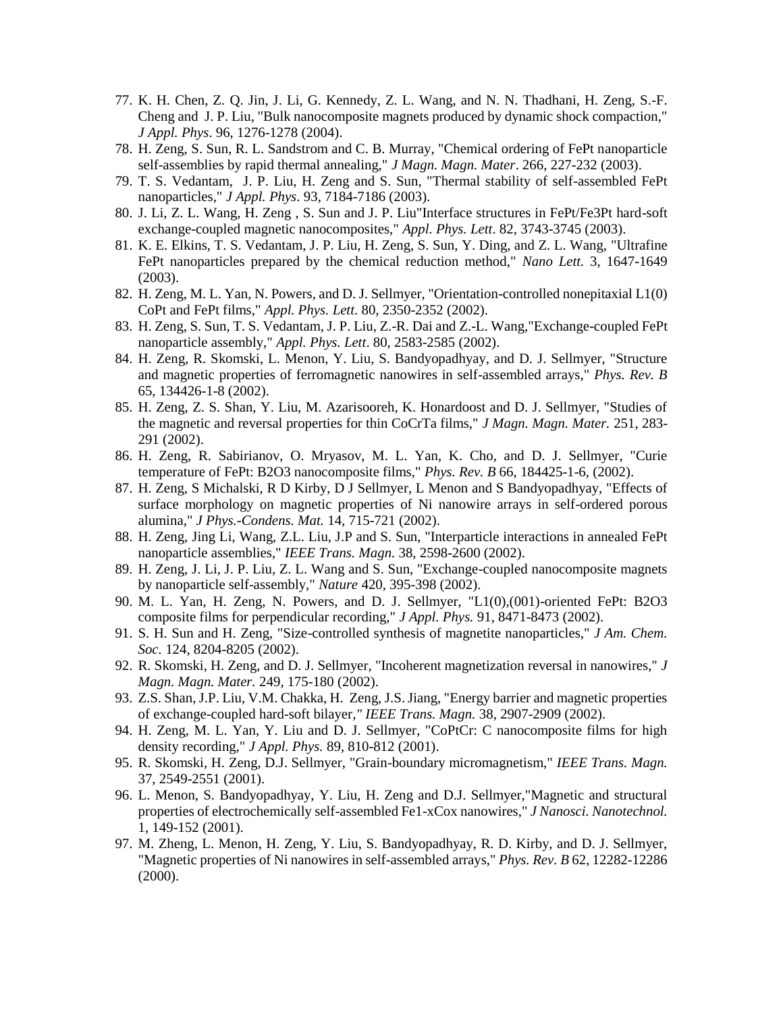- 77. K. H. Chen, Z. Q. Jin, J. Li, G. Kennedy, Z. L. Wang, and N. N. Thadhani, H. Zeng, S.-F. Cheng and J. P. Liu, "Bulk nanocomposite magnets produced by dynamic shock compaction," *J Appl. Phys*. 96, 1276-1278 (2004).
- 78. H. Zeng, S. Sun, R. L. Sandstrom and C. B. Murray, "Chemical ordering of FePt nanoparticle self-assemblies by rapid thermal annealing," *J Magn. Magn. Mater*. 266, 227-232 (2003).
- 79. T. S. Vedantam, J. P. Liu, H. Zeng and S. Sun, "Thermal stability of self-assembled FePt nanoparticles," *J Appl. Phys*. 93, 7184-7186 (2003).
- 80. J. Li, Z. L. Wang, H. Zeng , S. Sun and J. P. Liu"Interface structures in FePt/Fe3Pt hard-soft exchange-coupled magnetic nanocomposites," *Appl. Phys. Lett*. 82, 3743-3745 (2003).
- 81. K. E. Elkins, T. S. Vedantam, J. P. Liu, H. Zeng, S. Sun, Y. Ding, and Z. L. Wang, "Ultrafine FePt nanoparticles prepared by the chemical reduction method," *Nano Lett.* 3, 1647-1649 (2003).
- 82. H. Zeng, M. L. Yan, N. Powers, and D. J. Sellmyer, "Orientation-controlled nonepitaxial L1(0) CoPt and FePt films," *Appl. Phys. Lett*. 80, 2350-2352 (2002).
- 83. H. Zeng, S. Sun, T. S. Vedantam, J. P. Liu, Z.-R. Dai and Z.-L. Wang,"Exchange-coupled FePt nanoparticle assembly," *Appl. Phys. Lett*. 80, 2583-2585 (2002).
- 84. H. Zeng, R. Skomski, L. Menon, Y. Liu, S. Bandyopadhyay, and D. J. Sellmyer, "Structure and magnetic properties of ferromagnetic nanowires in self-assembled arrays," *Phys. Rev. B* 65, 134426-1-8 (2002).
- 85. H. Zeng, Z. S. Shan, Y. Liu, M. Azarisooreh, K. Honardoost and D. J. Sellmyer, "Studies of the magnetic and reversal properties for thin CoCrTa films," *J Magn. Magn. Mater.* 251, 283- 291 (2002).
- 86. H. Zeng, R. Sabirianov, O. Mryasov, M. L. Yan, K. Cho, and D. J. Sellmyer, "Curie temperature of FePt: B2O3 nanocomposite films," *Phys. Rev. B* 66, 184425-1-6, (2002).
- 87. H. Zeng, S Michalski, R D Kirby, D J Sellmyer, L Menon and S Bandyopadhyay, "Effects of surface morphology on magnetic properties of Ni nanowire arrays in self-ordered porous alumina," *J Phys.-Condens. Mat.* 14, 715-721 (2002).
- 88. H. Zeng, Jing Li, Wang, Z.L. Liu, J.P and S. Sun, "Interparticle interactions in annealed FePt nanoparticle assemblies," *IEEE Trans. Magn.* 38, 2598-2600 (2002).
- 89. H. Zeng, J. Li, J. P. Liu, Z. L. Wang and S. Sun, "Exchange-coupled nanocomposite magnets by nanoparticle self-assembly," *Nature* 420, 395-398 (2002).
- 90. M. L. Yan, H. Zeng, N. Powers, and D. J. Sellmyer, "L1(0),(001)-oriented FePt: B2O3 composite films for perpendicular recording," *J Appl. Phys.* 91, 8471-8473 (2002).
- 91. S. H. Sun and H. Zeng, "Size-controlled synthesis of magnetite nanoparticles," *J Am. Chem. Soc.* 124, 8204-8205 (2002).
- 92. R. Skomski, H. Zeng, and D. J. Sellmyer, "Incoherent magnetization reversal in nanowires," *J Magn. Magn. Mater.* 249, 175-180 (2002).
- 93. Z.S. Shan, J.P. Liu, V.M. Chakka, H. Zeng, J.S. Jiang, "Energy barrier and magnetic properties of exchange-coupled hard-soft bilayer*," IEEE Trans. Magn.* 38, 2907-2909 (2002).
- 94. H. Zeng, M. L. Yan, Y. Liu and D. J. Sellmyer, "CoPtCr: C nanocomposite films for high density recording," *J Appl. Phys.* 89, 810-812 (2001).
- 95. R. Skomski, H. Zeng, D.J. Sellmyer, "Grain-boundary micromagnetism," *IEEE Trans. Magn.* 37, 2549-2551 (2001).
- 96. L. Menon, S. Bandyopadhyay, Y. Liu, H. Zeng and D.J. Sellmyer,"Magnetic and structural properties of electrochemically self-assembled Fe1-xCox nanowires," *J Nanosci. Nanotechnol.* 1, 149-152 (2001).
- 97. M. Zheng, L. Menon, H. Zeng, Y. Liu, S. Bandyopadhyay, R. D. Kirby, and D. J. Sellmyer, "Magnetic properties of Ni nanowires in self-assembled arrays," *Phys. Rev. B* 62, 12282-12286 (2000).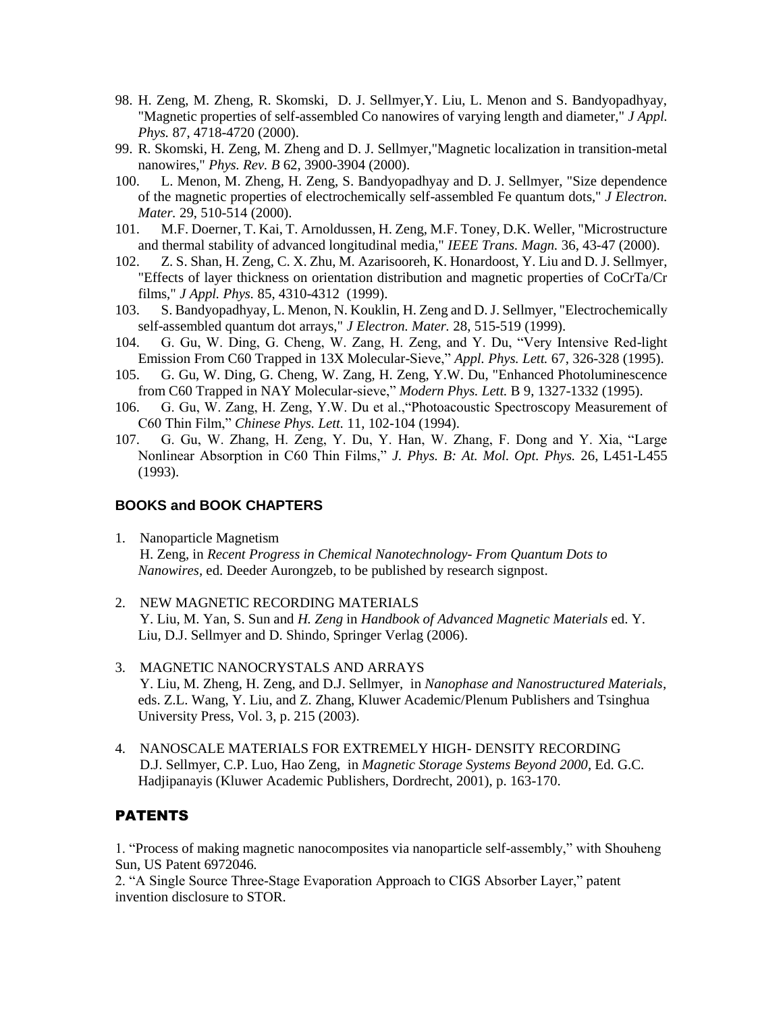- 98. H. Zeng, M. Zheng, R. Skomski, D. J. Sellmyer,Y. Liu, L. Menon and S. Bandyopadhyay, "Magnetic properties of self-assembled Co nanowires of varying length and diameter," *J Appl. Phys.* 87, 4718-4720 (2000).
- 99. R. Skomski, H. Zeng, M. Zheng and D. J. Sellmyer,"Magnetic localization in transition-metal nanowires," *Phys. Rev. B* 62, 3900-3904 (2000).
- 100. L. Menon, M. Zheng, H. Zeng, S. Bandyopadhyay and D. J. Sellmyer, "Size dependence of the magnetic properties of electrochemically self-assembled Fe quantum dots," *J Electron. Mater.* 29, 510-514 (2000).
- 101. M.F. Doerner, T. Kai, T. Arnoldussen, H. Zeng, M.F. Toney, D.K. Weller, "Microstructure and thermal stability of advanced longitudinal media," *IEEE Trans. Magn.* 36, 43-47 (2000).
- 102. Z. S. Shan, H. Zeng, C. X. Zhu, M. Azarisooreh, K. Honardoost, Y. Liu and D. J. Sellmyer, "Effects of layer thickness on orientation distribution and magnetic properties of CoCrTa/Cr films," *J Appl. Phys.* 85, 4310-4312 (1999).
- 103. S. Bandyopadhyay, L. Menon, N. Kouklin, H. Zeng and D. J. Sellmyer, "Electrochemically self-assembled quantum dot arrays," *J Electron. Mater.* 28, 515-519 (1999).
- 104. G. Gu, W. Ding, G. Cheng, W. Zang, H. Zeng, and Y. Du, "Very Intensive Red-light Emission From C60 Trapped in 13X Molecular-Sieve," *Appl. Phys. Lett.* 67, 326-328 (1995).
- 105. G. Gu, W. Ding, G. Cheng, W. Zang, H. Zeng, Y.W. Du, "Enhanced Photoluminescence from C60 Trapped in NAY Molecular-sieve," *Modern Phys. Lett.* B 9, 1327-1332 (1995).
- 106. G. Gu, W. Zang, H. Zeng, Y.W. Du et al.,"Photoacoustic Spectroscopy Measurement of C60 Thin Film," *Chinese Phys. Lett.* 11, 102-104 (1994).
- 107. G. Gu, W. Zhang, H. Zeng, Y. Du, Y. Han, W. Zhang, F. Dong and Y. Xia, "Large Nonlinear Absorption in C60 Thin Films," *J. Phys. B: At. Mol. Opt. Phys.* 26, L451-L455 (1993).

### **BOOKS and BOOK CHAPTERS**

- 1. Nanoparticle Magnetism H. Zeng, in *Recent Progress in Chemical Nanotechnology- From Quantum Dots to Nanowires,* ed. Deeder Aurongzeb, to be published by research signpost.
- 2. NEW MAGNETIC RECORDING MATERIALS Y. Liu, M. Yan, S. Sun and *H. Zeng* in *Handbook of Advanced Magnetic Materials* ed. Y. Liu, D.J. Sellmyer and D. Shindo, Springer Verlag (2006).
- 3. MAGNETIC NANOCRYSTALS AND ARRAYS Y. Liu, M. Zheng, H. Zeng, and D.J. Sellmyer, in *Nanophase and Nanostructured Materials*, eds. Z.L. Wang, Y. Liu, and Z. Zhang, Kluwer Academic/Plenum Publishers and Tsinghua University Press, Vol. 3, p. 215 (2003).
- 4. NANOSCALE MATERIALS FOR EXTREMELY HIGH- DENSITY RECORDING D.J. Sellmyer, C.P. Luo, Hao Zeng, in *Magnetic Storage Systems Beyond 2000*, Ed. G.C. Hadjipanayis (Kluwer Academic Publishers, Dordrecht, 2001), p. 163-170.

### PATENTS

1. "Process of making magnetic nanocomposites via nanoparticle self-assembly," with Shouheng Sun, US Patent 6972046.

2. "A Single Source Three-Stage Evaporation Approach to CIGS Absorber Layer," patent invention disclosure to STOR.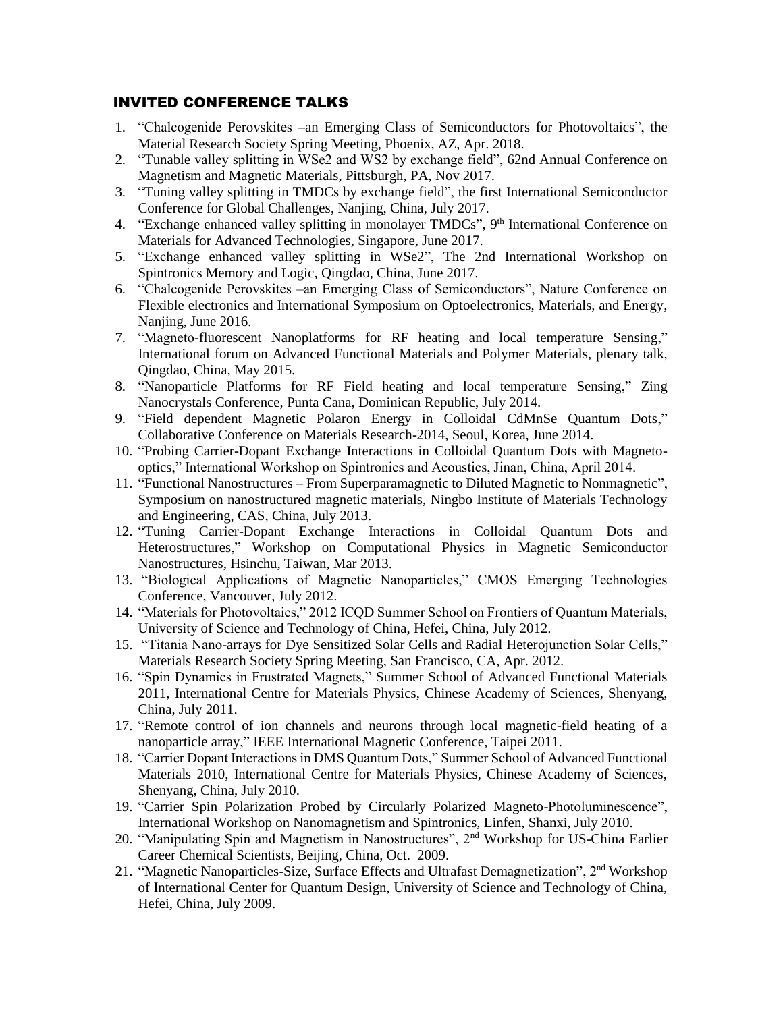### INVITED CONFERENCE TALKS

- 1. "Chalcogenide Perovskites –an Emerging Class of Semiconductors for Photovoltaics", the Material Research Society Spring Meeting, Phoenix, AZ, Apr. 2018.
- 2. "Tunable valley splitting in WSe2 and WS2 by exchange field", 62nd Annual Conference on Magnetism and Magnetic Materials, Pittsburgh, PA, Nov 2017.
- 3. "Tuning valley splitting in TMDCs by exchange field", the first International Semiconductor Conference for Global Challenges, Nanjing, China, July 2017.
- 4. "Exchange enhanced valley splitting in monolayer TMDCs", 9th International Conference on Materials for Advanced Technologies, Singapore, June 2017.
- 5. "Exchange enhanced valley splitting in WSe2", The 2nd International Workshop on Spintronics Memory and Logic, Qingdao, China, June 2017.
- 6. "Chalcogenide Perovskites –an Emerging Class of Semiconductors", Nature Conference on Flexible electronics and International Symposium on Optoelectronics, Materials, and Energy, Nanjing, June 2016.
- 7. "Magneto-fluorescent Nanoplatforms for RF heating and local temperature Sensing," International forum on Advanced Functional Materials and Polymer Materials, plenary talk, Qingdao, China, May 2015.
- 8. "Nanoparticle Platforms for RF Field heating and local temperature Sensing," Zing Nanocrystals Conference, Punta Cana, Dominican Republic, July 2014.
- 9. "Field dependent Magnetic Polaron Energy in Colloidal CdMnSe Quantum Dots," Collaborative Conference on Materials Research-2014, Seoul, Korea, June 2014.
- 10. "Probing Carrier-Dopant Exchange Interactions in Colloidal Quantum Dots with Magnetooptics," International Workshop on Spintronics and Acoustics, Jinan, China, April 2014.
- 11. "Functional Nanostructures From Superparamagnetic to Diluted Magnetic to Nonmagnetic", Symposium on nanostructured magnetic materials, Ningbo Institute of Materials Technology and Engineering, CAS, China, July 2013.
- 12. "Tuning Carrier-Dopant Exchange Interactions in Colloidal Quantum Dots and Heterostructures," Workshop on Computational Physics in Magnetic Semiconductor Nanostructures, Hsinchu, Taiwan, Mar 2013.
- 13. "Biological Applications of Magnetic Nanoparticles," CMOS Emerging Technologies Conference, Vancouver, July 2012.
- 14. "Materials for Photovoltaics," 2012 ICQD Summer School on Frontiers of Quantum Materials, University of Science and Technology of China, Hefei, China, July 2012.
- 15. "Titania Nano-arrays for Dye Sensitized Solar Cells and Radial Heterojunction Solar Cells," Materials Research Society Spring Meeting, San Francisco, CA, Apr. 2012.
- 16. "Spin Dynamics in Frustrated Magnets," Summer School of Advanced Functional Materials 2011, International Centre for Materials Physics, Chinese Academy of Sciences, Shenyang, China, July 2011.
- 17. "Remote control of ion channels and neurons through local magnetic-field heating of a nanoparticle array," IEEE International Magnetic Conference, Taipei 2011.
- 18. "Carrier Dopant Interactions in DMS Quantum Dots," Summer School of Advanced Functional Materials 2010, International Centre for Materials Physics, Chinese Academy of Sciences, Shenyang, China, July 2010.
- 19. "Carrier Spin Polarization Probed by Circularly Polarized Magneto-Photoluminescence", International Workshop on Nanomagnetism and Spintronics, Linfen, Shanxi, July 2010.
- 20. "Manipulating Spin and Magnetism in Nanostructures", 2nd Workshop for US-China Earlier Career Chemical Scientists, Beijing, China, Oct. 2009.
- 21. "Magnetic Nanoparticles-Size, Surface Effects and Ultrafast Demagnetization", 2<sup>nd</sup> Workshop of International Center for Quantum Design, University of Science and Technology of China, Hefei, China, July 2009.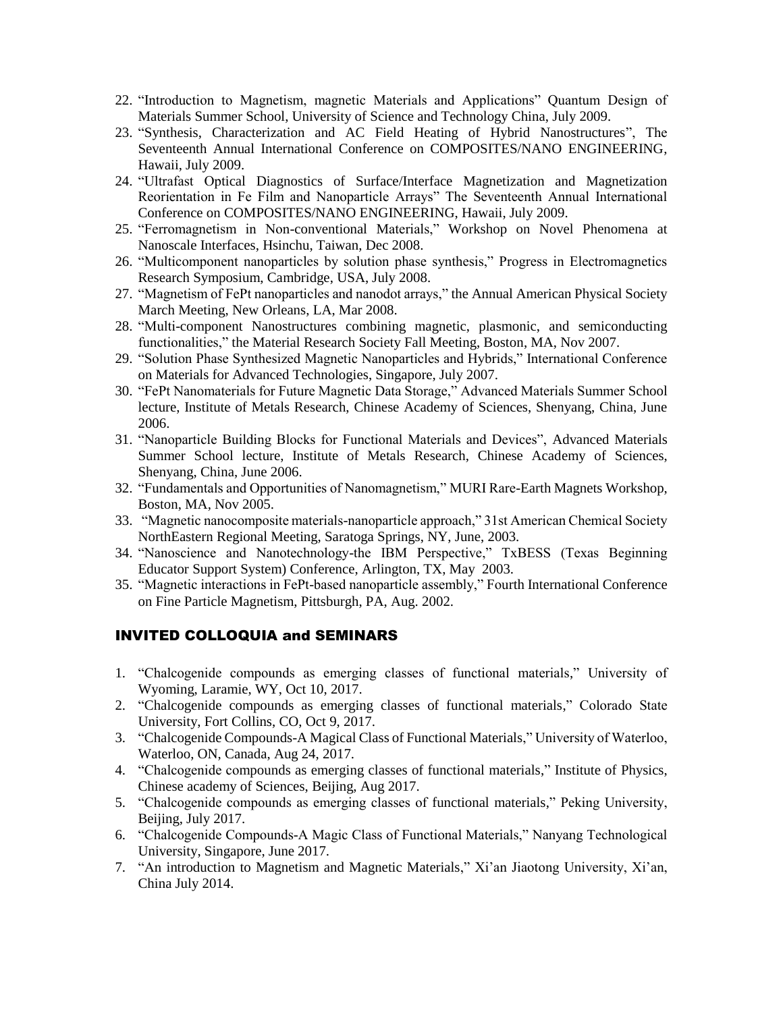- 22. "Introduction to Magnetism, magnetic Materials and Applications" Quantum Design of Materials Summer School, University of Science and Technology China, July 2009.
- 23. "Synthesis, Characterization and AC Field Heating of Hybrid Nanostructures", The Seventeenth Annual International Conference on COMPOSITES/NANO ENGINEERING, Hawaii, July 2009.
- 24. "Ultrafast Optical Diagnostics of Surface/Interface Magnetization and Magnetization Reorientation in Fe Film and Nanoparticle Arrays" The Seventeenth Annual International Conference on COMPOSITES/NANO ENGINEERING, Hawaii, July 2009.
- 25. "Ferromagnetism in Non-conventional Materials," Workshop on Novel Phenomena at Nanoscale Interfaces, Hsinchu, Taiwan, Dec 2008.
- 26. "Multicomponent nanoparticles by solution phase synthesis," Progress in Electromagnetics Research Symposium, Cambridge, USA, July 2008.
- 27. "Magnetism of FePt nanoparticles and nanodot arrays," the Annual American Physical Society March Meeting, New Orleans, LA, Mar 2008.
- 28. "Multi-component Nanostructures combining magnetic, plasmonic, and semiconducting functionalities," the Material Research Society Fall Meeting, Boston, MA, Nov 2007.
- 29. "Solution Phase Synthesized Magnetic Nanoparticles and Hybrids," International Conference on Materials for Advanced Technologies, Singapore, July 2007.
- 30. "FePt Nanomaterials for Future Magnetic Data Storage," Advanced Materials Summer School lecture, Institute of Metals Research, Chinese Academy of Sciences, Shenyang, China, June 2006.
- 31. "Nanoparticle Building Blocks for Functional Materials and Devices", Advanced Materials Summer School lecture, Institute of Metals Research, Chinese Academy of Sciences, Shenyang, China, June 2006.
- 32. "Fundamentals and Opportunities of Nanomagnetism," MURI Rare-Earth Magnets Workshop, Boston, MA, Nov 2005.
- 33. "Magnetic nanocomposite materials-nanoparticle approach," 31st American Chemical Society NorthEastern Regional Meeting, Saratoga Springs, NY, June, 2003.
- 34. "Nanoscience and Nanotechnology-the IBM Perspective," TxBESS (Texas Beginning Educator Support System) Conference, Arlington, TX, May 2003.
- 35. "Magnetic interactions in FePt-based nanoparticle assembly," Fourth International Conference on Fine Particle Magnetism, Pittsburgh, PA, Aug. 2002.

### INVITED COLLOQUIA and SEMINARS

- 1. "Chalcogenide compounds as emerging classes of functional materials," University of Wyoming, Laramie, WY, Oct 10, 2017.
- 2. "Chalcogenide compounds as emerging classes of functional materials," Colorado State University, Fort Collins, CO, Oct 9, 2017.
- 3. "Chalcogenide Compounds-A Magical Class of Functional Materials," University of Waterloo, Waterloo, ON, Canada, Aug 24, 2017.
- 4. "Chalcogenide compounds as emerging classes of functional materials," Institute of Physics, Chinese academy of Sciences, Beijing, Aug 2017.
- 5. "Chalcogenide compounds as emerging classes of functional materials," Peking University, Beijing, July 2017.
- 6. "Chalcogenide Compounds-A Magic Class of Functional Materials," Nanyang Technological University, Singapore, June 2017.
- 7. "An introduction to Magnetism and Magnetic Materials," Xi'an Jiaotong University, Xi'an, China July 2014.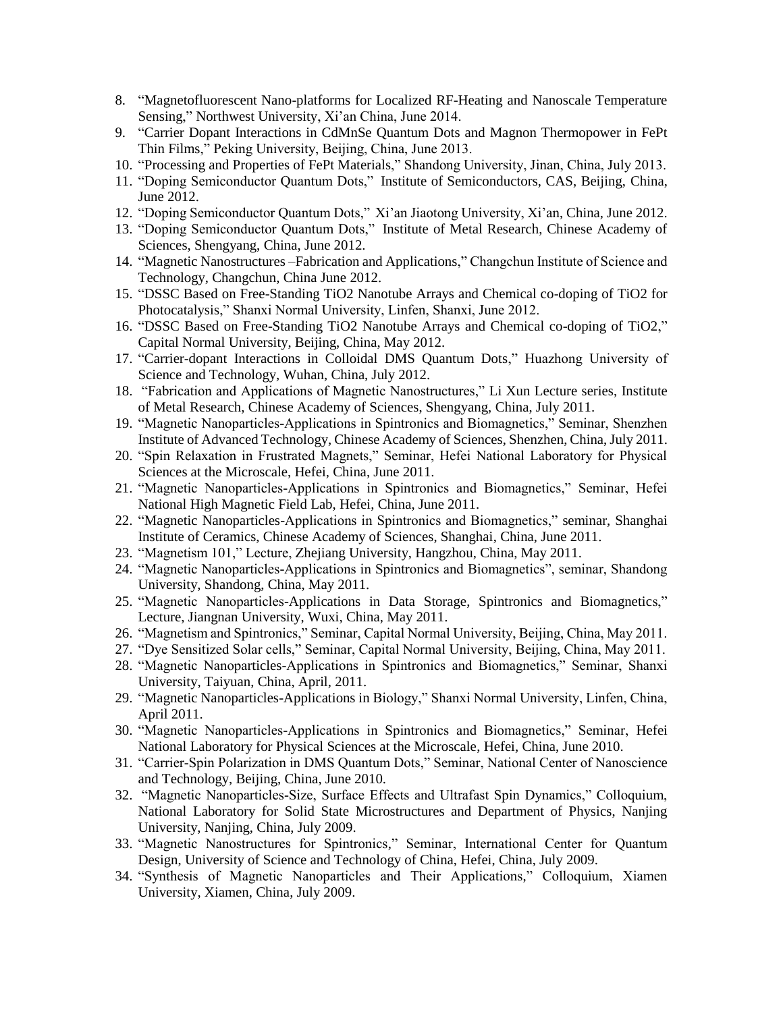- 8. "Magnetofluorescent Nano-platforms for Localized RF-Heating and Nanoscale Temperature Sensing," Northwest University, Xi'an China, June 2014.
- 9. "Carrier Dopant Interactions in CdMnSe Quantum Dots and Magnon Thermopower in FePt Thin Films," Peking University, Beijing, China, June 2013.
- 10. "Processing and Properties of FePt Materials," Shandong University, Jinan, China, July 2013.
- 11. "Doping Semiconductor Quantum Dots," Institute of Semiconductors, CAS, Beijing, China, June 2012.
- 12. "Doping Semiconductor Quantum Dots," Xi'an Jiaotong University, Xi'an, China, June 2012.
- 13. "Doping Semiconductor Quantum Dots," Institute of Metal Research, Chinese Academy of Sciences, Shengyang, China, June 2012.
- 14. "Magnetic Nanostructures –Fabrication and Applications," Changchun Institute of Science and Technology, Changchun, China June 2012.
- 15. "DSSC Based on Free-Standing TiO2 Nanotube Arrays and Chemical co-doping of TiO2 for Photocatalysis," Shanxi Normal University, Linfen, Shanxi, June 2012.
- 16. "DSSC Based on Free-Standing TiO2 Nanotube Arrays and Chemical co-doping of TiO2," Capital Normal University, Beijing, China, May 2012.
- 17. "Carrier-dopant Interactions in Colloidal DMS Quantum Dots," Huazhong University of Science and Technology, Wuhan, China, July 2012.
- 18. "Fabrication and Applications of Magnetic Nanostructures," Li Xun Lecture series, Institute of Metal Research, Chinese Academy of Sciences, Shengyang, China, July 2011.
- 19. "Magnetic Nanoparticles-Applications in Spintronics and Biomagnetics," Seminar, Shenzhen Institute of Advanced Technology, Chinese Academy of Sciences, Shenzhen, China, July 2011.
- 20. "Spin Relaxation in Frustrated Magnets," Seminar, Hefei National Laboratory for Physical Sciences at the Microscale, Hefei, China, June 2011.
- 21. "Magnetic Nanoparticles-Applications in Spintronics and Biomagnetics," Seminar, Hefei National High Magnetic Field Lab, Hefei, China, June 2011.
- 22. "Magnetic Nanoparticles-Applications in Spintronics and Biomagnetics," seminar, Shanghai Institute of Ceramics, Chinese Academy of Sciences, Shanghai, China, June 2011.
- 23. "Magnetism 101," Lecture, Zhejiang University, Hangzhou, China, May 2011.
- 24. "Magnetic Nanoparticles-Applications in Spintronics and Biomagnetics", seminar, Shandong University, Shandong, China, May 2011.
- 25. "Magnetic Nanoparticles-Applications in Data Storage, Spintronics and Biomagnetics," Lecture, Jiangnan University, Wuxi, China, May 2011.
- 26. "Magnetism and Spintronics," Seminar, Capital Normal University, Beijing, China, May 2011.
- 27. "Dye Sensitized Solar cells," Seminar, Capital Normal University, Beijing, China, May 2011.
- 28. "Magnetic Nanoparticles-Applications in Spintronics and Biomagnetics," Seminar, Shanxi University, Taiyuan, China, April, 2011.
- 29. "Magnetic Nanoparticles-Applications in Biology," Shanxi Normal University, Linfen, China, April 2011.
- 30. "Magnetic Nanoparticles-Applications in Spintronics and Biomagnetics," Seminar, Hefei National Laboratory for Physical Sciences at the Microscale, Hefei, China, June 2010.
- 31. "Carrier-Spin Polarization in DMS Quantum Dots," Seminar, National Center of Nanoscience and Technology, Beijing, China, June 2010.
- 32. "Magnetic Nanoparticles-Size, Surface Effects and Ultrafast Spin Dynamics," Colloquium, National Laboratory for Solid State Microstructures and Department of Physics, Nanjing University, Nanjing, China, July 2009.
- 33. "Magnetic Nanostructures for Spintronics," Seminar, International Center for Quantum Design, University of Science and Technology of China, Hefei, China, July 2009.
- 34. "Synthesis of Magnetic Nanoparticles and Their Applications," Colloquium, Xiamen University, Xiamen, China, July 2009.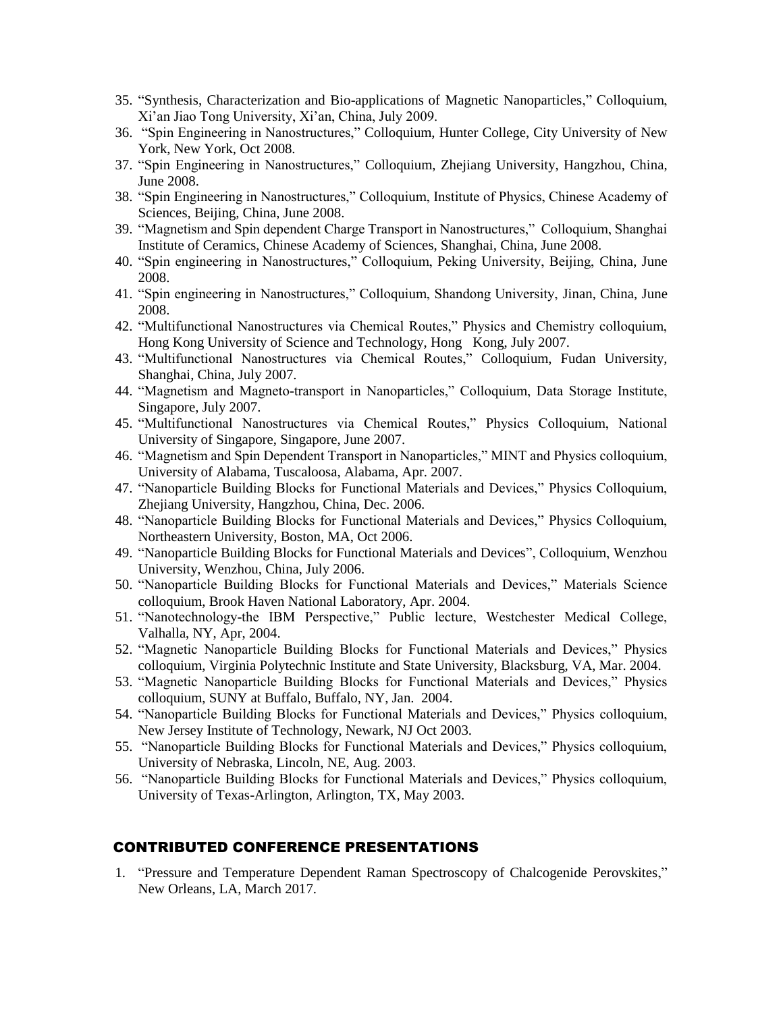- 35. "Synthesis, Characterization and Bio-applications of Magnetic Nanoparticles," Colloquium, Xi'an Jiao Tong University, Xi'an, China, July 2009.
- 36. "Spin Engineering in Nanostructures," Colloquium, Hunter College, City University of New York, New York, Oct 2008.
- 37. "Spin Engineering in Nanostructures," Colloquium, Zhejiang University, Hangzhou, China, June 2008.
- 38. "Spin Engineering in Nanostructures," Colloquium, Institute of Physics, Chinese Academy of Sciences, Beijing, China, June 2008.
- 39. "Magnetism and Spin dependent Charge Transport in Nanostructures," Colloquium, Shanghai Institute of Ceramics, Chinese Academy of Sciences, Shanghai, China, June 2008.
- 40. "Spin engineering in Nanostructures," Colloquium, Peking University, Beijing, China, June 2008.
- 41. "Spin engineering in Nanostructures," Colloquium, Shandong University, Jinan, China, June 2008.
- 42. "Multifunctional Nanostructures via Chemical Routes," Physics and Chemistry colloquium, Hong Kong University of Science and Technology, Hong Kong, July 2007.
- 43. "Multifunctional Nanostructures via Chemical Routes," Colloquium, Fudan University, Shanghai, China, July 2007.
- 44. "Magnetism and Magneto-transport in Nanoparticles," Colloquium, Data Storage Institute, Singapore, July 2007.
- 45. "Multifunctional Nanostructures via Chemical Routes," Physics Colloquium, National University of Singapore, Singapore, June 2007.
- 46. "Magnetism and Spin Dependent Transport in Nanoparticles," MINT and Physics colloquium, University of Alabama, Tuscaloosa, Alabama, Apr. 2007.
- 47. "Nanoparticle Building Blocks for Functional Materials and Devices," Physics Colloquium, Zhejiang University, Hangzhou, China, Dec. 2006.
- 48. "Nanoparticle Building Blocks for Functional Materials and Devices," Physics Colloquium, Northeastern University, Boston, MA, Oct 2006.
- 49. "Nanoparticle Building Blocks for Functional Materials and Devices", Colloquium, Wenzhou University, Wenzhou, China, July 2006.
- 50. "Nanoparticle Building Blocks for Functional Materials and Devices," Materials Science colloquium, Brook Haven National Laboratory, Apr. 2004.
- 51. "Nanotechnology-the IBM Perspective," Public lecture, Westchester Medical College, Valhalla, NY, Apr, 2004.
- 52. "Magnetic Nanoparticle Building Blocks for Functional Materials and Devices," Physics colloquium, Virginia Polytechnic Institute and State University, Blacksburg, VA, Mar. 2004.
- 53. "Magnetic Nanoparticle Building Blocks for Functional Materials and Devices," Physics colloquium, SUNY at Buffalo, Buffalo, NY, Jan. 2004.
- 54. "Nanoparticle Building Blocks for Functional Materials and Devices," Physics colloquium, New Jersey Institute of Technology, Newark, NJ Oct 2003.
- 55. "Nanoparticle Building Blocks for Functional Materials and Devices," Physics colloquium, University of Nebraska, Lincoln, NE, Aug. 2003.
- 56. "Nanoparticle Building Blocks for Functional Materials and Devices," Physics colloquium, University of Texas-Arlington, Arlington, TX, May 2003.

#### CONTRIBUTED CONFERENCE PRESENTATIONS

1. "Pressure and Temperature Dependent Raman Spectroscopy of Chalcogenide Perovskites," New Orleans, LA, March 2017.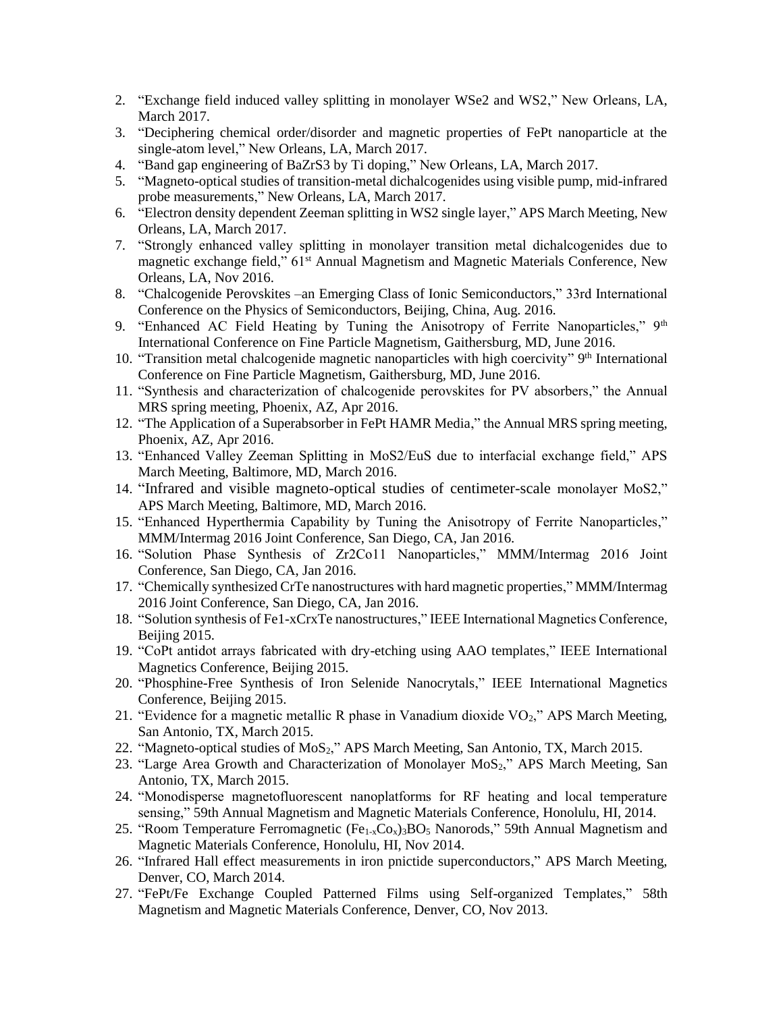- 2. "Exchange field induced valley splitting in monolayer WSe2 and WS2," New Orleans, LA, March 2017.
- 3. "Deciphering chemical order/disorder and magnetic properties of FePt nanoparticle at the single-atom level," New Orleans, LA, March 2017.
- 4. "Band gap engineering of BaZrS3 by Ti doping," New Orleans, LA, March 2017.
- 5. "Magneto-optical studies of transition-metal dichalcogenides using visible pump, mid-infrared probe measurements," New Orleans, LA, March 2017.
- 6. "Electron density dependent Zeeman splitting in WS2 single layer," APS March Meeting, New Orleans, LA, March 2017.
- 7. "Strongly enhanced valley splitting in monolayer transition metal dichalcogenides due to magnetic exchange field,"  $61<sup>st</sup>$  Annual Magnetism and Magnetic Materials Conference, New Orleans, LA, Nov 2016.
- 8. "Chalcogenide Perovskites –an Emerging Class of Ionic Semiconductors," 33rd International Conference on the Physics of Semiconductors, Beijing, China, Aug. 2016.
- 9. "Enhanced AC Field Heating by Tuning the Anisotropy of Ferrite Nanoparticles,"  $9<sup>th</sup>$ International Conference on Fine Particle Magnetism, Gaithersburg, MD, June 2016.
- 10. "Transition metal chalcogenide magnetic nanoparticles with high coercivity"  $9<sup>th</sup>$  International Conference on Fine Particle Magnetism, Gaithersburg, MD, June 2016.
- 11. "Synthesis and characterization of chalcogenide perovskites for PV absorbers," the Annual MRS spring meeting, Phoenix, AZ, Apr 2016.
- 12. "The Application of a Superabsorber in FePt HAMR Media," the Annual MRS spring meeting, Phoenix, AZ, Apr 2016.
- 13. "Enhanced Valley Zeeman Splitting in MoS2/EuS due to interfacial exchange field," APS March Meeting, Baltimore, MD, March 2016.
- 14. "Infrared and visible magneto-optical studies of centimeter-scale monolayer MoS2," APS March Meeting, Baltimore, MD, March 2016.
- 15. "Enhanced Hyperthermia Capability by Tuning the Anisotropy of Ferrite Nanoparticles," MMM/Intermag 2016 Joint Conference, San Diego, CA, Jan 2016.
- 16. "Solution Phase Synthesis of Zr2Co11 Nanoparticles," MMM/Intermag 2016 Joint Conference, San Diego, CA, Jan 2016.
- 17. "Chemically synthesized CrTe nanostructures with hard magnetic properties," MMM/Intermag 2016 Joint Conference, San Diego, CA, Jan 2016.
- 18. "Solution synthesis of Fe1-xCrxTe nanostructures," IEEE International Magnetics Conference, Beijing 2015.
- 19. "CoPt antidot arrays fabricated with dry-etching using AAO templates," IEEE International Magnetics Conference, Beijing 2015.
- 20. "Phosphine-Free Synthesis of Iron Selenide Nanocrytals," IEEE International Magnetics Conference, Beijing 2015.
- 21. "Evidence for a magnetic metallic R phase in Vanadium dioxide  $VO<sub>2</sub>$ ," APS March Meeting, San Antonio, TX, March 2015.
- 22. "Magneto-optical studies of MoS<sub>2</sub>," APS March Meeting, San Antonio, TX, March 2015.
- 23. "Large Area Growth and Characterization of Monolayer MoS<sub>2</sub>," APS March Meeting, San Antonio, TX, March 2015.
- 24. "Monodisperse magnetofluorescent nanoplatforms for RF heating and local temperature sensing," 59th Annual Magnetism and Magnetic Materials Conference, Honolulu, HI, 2014.
- 25. "Room Temperature Ferromagnetic  $(F_{e_1-x}Co_x)_3BO_5$  Nanorods," 59th Annual Magnetism and Magnetic Materials Conference, Honolulu, HI, Nov 2014.
- 26. "Infrared Hall effect measurements in iron pnictide superconductors," APS March Meeting, Denver, CO, March 2014.
- 27. "FePt/Fe Exchange Coupled Patterned Films using Self-organized Templates," 58th Magnetism and Magnetic Materials Conference, Denver, CO, Nov 2013.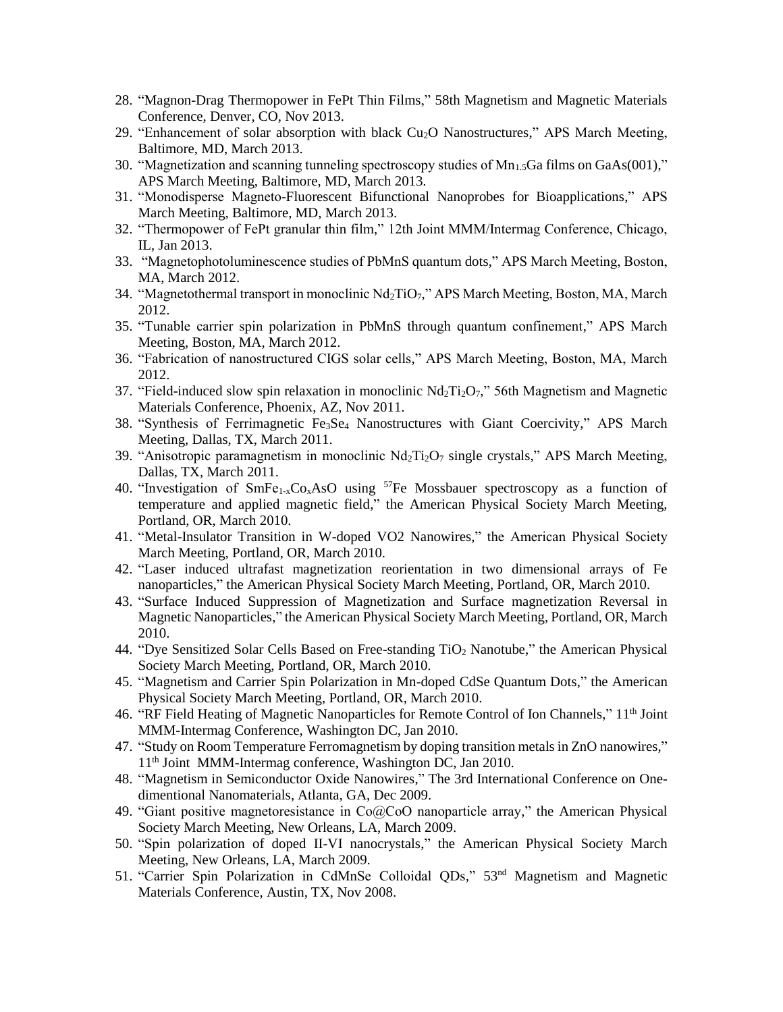- 28. "Magnon-Drag Thermopower in FePt Thin Films," 58th Magnetism and Magnetic Materials Conference, Denver, CO, Nov 2013.
- 29. "Enhancement of solar absorption with black  $Cu<sub>2</sub>O$  Nanostructures," APS March Meeting, Baltimore, MD, March 2013.
- 30. "Magnetization and scanning tunneling spectroscopy studies of  $Mn<sub>1.5</sub>Ga$  films on  $GaAs(001)$ ," APS March Meeting, Baltimore, MD, March 2013.
- 31. "Monodisperse Magneto-Fluorescent Bifunctional Nanoprobes for Bioapplications," APS March Meeting, Baltimore, MD, March 2013.
- 32. "Thermopower of FePt granular thin film," 12th Joint MMM/Intermag Conference, Chicago, IL, Jan 2013.
- 33. "Magnetophotoluminescence studies of PbMnS quantum dots," APS March Meeting, Boston, MA, March 2012.
- 34. "Magnetothermal transport in monoclinic  $Nd_2TiO_7$ ," APS March Meeting, Boston, MA, March 2012.
- 35. "Tunable carrier spin polarization in PbMnS through quantum confinement," APS March Meeting, Boston, MA, March 2012.
- 36. "Fabrication of nanostructured CIGS solar cells," APS March Meeting, Boston, MA, March 2012.
- 37. "Field-induced slow spin relaxation in monoclinic  $Nd_2Ti_2O_7$ ," 56th Magnetism and Magnetic Materials Conference, Phoenix, AZ, Nov 2011.
- 38. "Synthesis of Ferrimagnetic Fe3Se<sup>4</sup> Nanostructures with Giant Coercivity," APS March Meeting, Dallas, TX, March 2011.
- 39. "Anisotropic paramagnetism in monoclinic  $Nd_2Ti_2O_7$  single crystals," APS March Meeting, Dallas, TX, March 2011.
- 40. "Investigation of  $SmFe<sub>1-x</sub>Co<sub>x</sub>ASO$  using <sup>57</sup>Fe Mossbauer spectroscopy as a function of temperature and applied magnetic field," the American Physical Society March Meeting, Portland, OR, March 2010.
- 41. "Metal-Insulator Transition in W-doped VO2 Nanowires," the American Physical Society March Meeting, Portland, OR, March 2010.
- 42. "Laser induced ultrafast magnetization reorientation in two dimensional arrays of Fe nanoparticles," the American Physical Society March Meeting, Portland, OR, March 2010.
- 43. "Surface Induced Suppression of Magnetization and Surface magnetization Reversal in Magnetic Nanoparticles," the American Physical Society March Meeting, Portland, OR, March 2010.
- 44. "Dye Sensitized Solar Cells Based on Free-standing TiO<sup>2</sup> Nanotube," the American Physical Society March Meeting, Portland, OR, March 2010.
- 45. "Magnetism and Carrier Spin Polarization in Mn-doped CdSe Quantum Dots," the American Physical Society March Meeting, Portland, OR, March 2010.
- 46. "RF Field Heating of Magnetic Nanoparticles for Remote Control of Ion Channels," 11th Joint MMM-Intermag Conference, Washington DC, Jan 2010.
- 47. "Study on Room Temperature Ferromagnetism by doping transition metals in ZnO nanowires," 11<sup>th</sup> Joint MMM-Intermag conference, Washington DC, Jan 2010.
- 48. "Magnetism in Semiconductor Oxide Nanowires," The 3rd International Conference on Onedimentional Nanomaterials, Atlanta, GA, Dec 2009.
- 49. "Giant positive magnetoresistance in Co@CoO nanoparticle array," the American Physical Society March Meeting, New Orleans, LA, March 2009.
- 50. "Spin polarization of doped II-VI nanocrystals," the American Physical Society March Meeting, New Orleans, LA, March 2009.
- 51. "Carrier Spin Polarization in CdMnSe Colloidal QDs," 53<sup>nd</sup> Magnetism and Magnetic Materials Conference, Austin, TX, Nov 2008.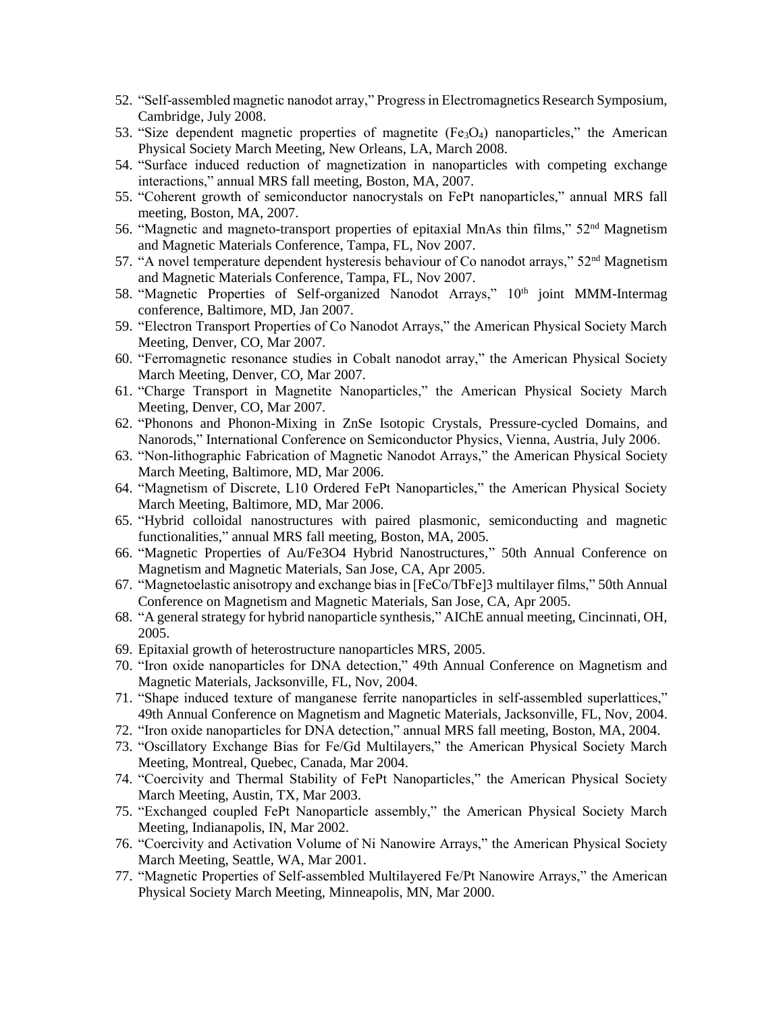- 52. "Self-assembled magnetic nanodot array," Progress in Electromagnetics Research Symposium, Cambridge, July 2008.
- 53. "Size dependent magnetic properties of magnetite ( $Fe<sub>3</sub>O<sub>4</sub>$ ) nanoparticles," the American Physical Society March Meeting, New Orleans, LA, March 2008.
- 54. "Surface induced reduction of magnetization in nanoparticles with competing exchange interactions," annual MRS fall meeting, Boston, MA, 2007.
- 55. "Coherent growth of semiconductor nanocrystals on FePt nanoparticles," annual MRS fall meeting, Boston, MA, 2007.
- 56. "Magnetic and magneto-transport properties of epitaxial MnAs thin films," 52nd Magnetism and Magnetic Materials Conference, Tampa, FL, Nov 2007.
- 57. "A novel temperature dependent hysteresis behaviour of Co nanodot arrays," 52<sup>nd</sup> Magnetism and Magnetic Materials Conference, Tampa, FL, Nov 2007.
- 58. "Magnetic Properties of Self-organized Nanodot Arrays," 10<sup>th</sup> joint MMM-Intermag conference, Baltimore, MD, Jan 2007.
- 59. "Electron Transport Properties of Co Nanodot Arrays," the American Physical Society March Meeting, Denver, CO, Mar 2007.
- 60. "Ferromagnetic resonance studies in Cobalt nanodot array," the American Physical Society March Meeting, Denver, CO, Mar 2007.
- 61. "Charge Transport in Magnetite Nanoparticles," the American Physical Society March Meeting, Denver, CO, Mar 2007.
- 62. "Phonons and Phonon-Mixing in ZnSe Isotopic Crystals, Pressure-cycled Domains, and Nanorods," International Conference on Semiconductor Physics, Vienna, Austria, July 2006.
- 63. "Non-lithographic Fabrication of Magnetic Nanodot Arrays," the American Physical Society March Meeting, Baltimore, MD, Mar 2006.
- 64. "Magnetism of Discrete, L10 Ordered FePt Nanoparticles," the American Physical Society March Meeting, Baltimore, MD, Mar 2006.
- 65. "Hybrid colloidal nanostructures with paired plasmonic, semiconducting and magnetic functionalities," annual MRS fall meeting, Boston, MA, 2005.
- 66. "Magnetic Properties of Au/Fe3O4 Hybrid Nanostructures," 50th Annual Conference on Magnetism and Magnetic Materials, San Jose, CA, Apr 2005.
- 67. "Magnetoelastic anisotropy and exchange bias in [FeCo/TbFe]3 multilayer films," 50th Annual Conference on Magnetism and Magnetic Materials, San Jose, CA, Apr 2005.
- 68. "A general strategy for hybrid nanoparticle synthesis," AIChE annual meeting, Cincinnati, OH, 2005.
- 69. Epitaxial growth of heterostructure nanoparticles MRS, 2005.
- 70. "Iron oxide nanoparticles for DNA detection," 49th Annual Conference on Magnetism and Magnetic Materials, Jacksonville, FL, Nov, 2004.
- 71. "Shape induced texture of manganese ferrite nanoparticles in self-assembled superlattices," 49th Annual Conference on Magnetism and Magnetic Materials, Jacksonville, FL, Nov, 2004.
- 72. "Iron oxide nanoparticles for DNA detection," annual MRS fall meeting, Boston, MA, 2004.
- 73. "Oscillatory Exchange Bias for Fe/Gd Multilayers," the American Physical Society March Meeting, Montreal, Quebec, Canada, Mar 2004.
- 74. "Coercivity and Thermal Stability of FePt Nanoparticles," the American Physical Society March Meeting, Austin, TX, Mar 2003.
- 75. "Exchanged coupled FePt Nanoparticle assembly," the American Physical Society March Meeting, Indianapolis, IN, Mar 2002.
- 76. "Coercivity and Activation Volume of Ni Nanowire Arrays," the American Physical Society March Meeting, Seattle, WA, Mar 2001.
- 77. "Magnetic Properties of Self-assembled Multilayered Fe/Pt Nanowire Arrays," the American Physical Society March Meeting, Minneapolis, MN, Mar 2000.